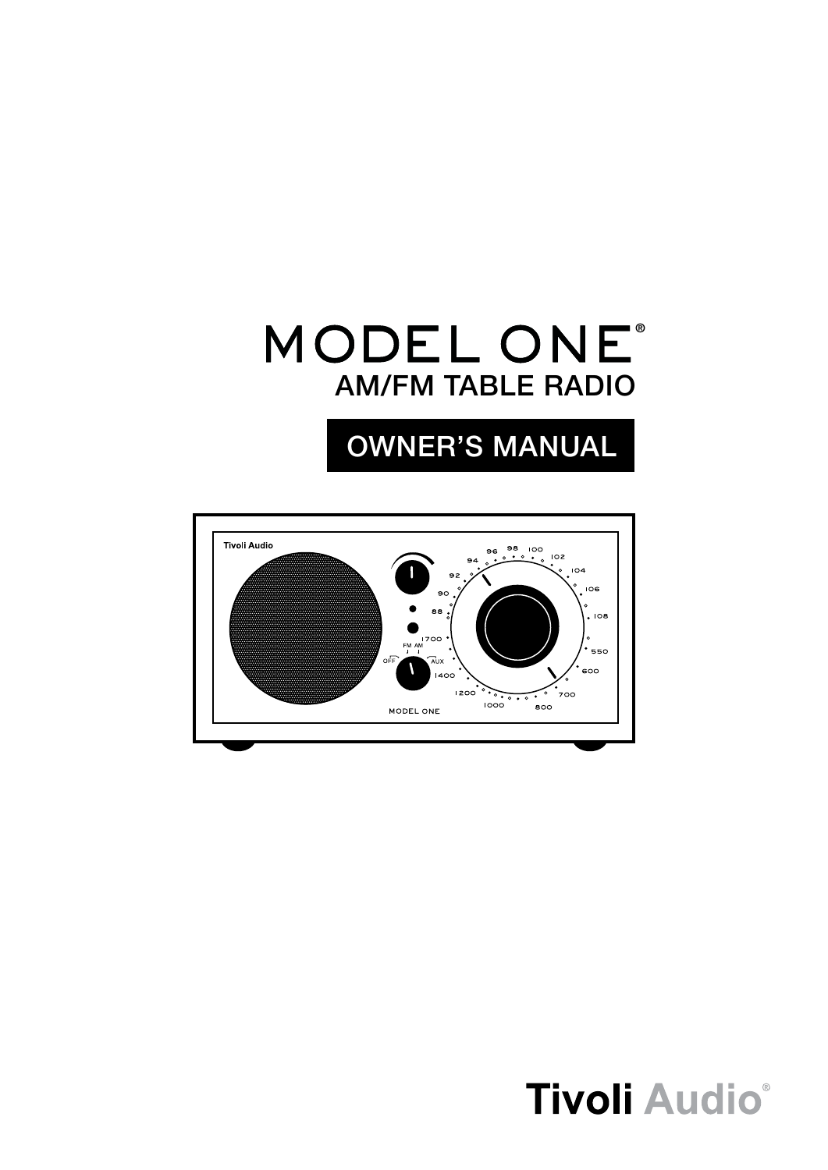## AM/FM Table radio **MODEL ONE®**

## OWNER'S MANUAL



# **Tivoli Audio®**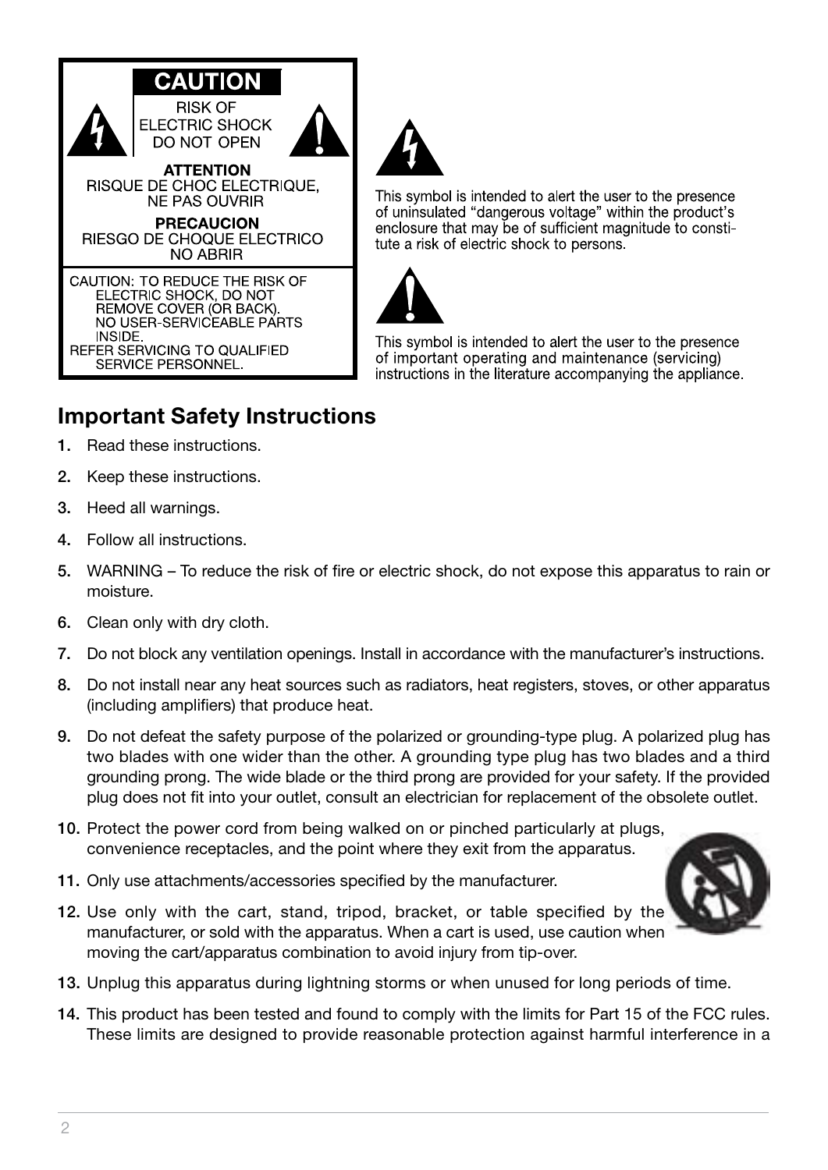



This symbol is intended to alert the user to the presence of uninsulated "dangerous voltage" within the product's enclosure that may be of sufficient magnitude to constitute a risk of electric shock to persons



This symbol is intended to alert the user to the presence of important operating and maintenance (servicing) instructions in the literature accompanying the appliance.

### **Important Safety Instructions**

- 1. Read these instructions.
- 2. Keep these instructions.
- 3. Heed all warnings.
- 4. Follow all instructions.
- 5. WARNING To reduce the risk of fire or electric shock, do not expose this apparatus to rain or moisture.
- 6. Clean only with dry cloth.
- 7. Do not block any ventilation openings. Install in accordance with the manufacturer's instructions.
- 8. Do not install near any heat sources such as radiators, heat registers, stoves, or other apparatus (including amplifiers) that produce heat.
- 9. Do not defeat the safety purpose of the polarized or grounding-type plug. A polarized plug has two blades with one wider than the other. A grounding type plug has two blades and a third grounding prong. The wide blade or the third prong are provided for your safety. If the provided plug does not fit into your outlet, consult an electrician for replacement of the obsolete outlet.
- 10. Protect the power cord from being walked on or pinched particularly at plugs, convenience receptacles, and the point where they exit from the apparatus.
- 11. Only use attachments/accessories specified by the manufacturer.
- 12. Use only with the cart, stand, tripod, bracket, or table specified by the manufacturer, or sold with the apparatus. When a cart is used, use caution when moving the cart/apparatus combination to avoid injury from tip-over.



- 13. Unplug this apparatus during lightning storms or when unused for long periods of time.
- 14. This product has been tested and found to comply with the limits for Part 15 of the FCC rules. These limits are designed to provide reasonable protection against harmful interference in a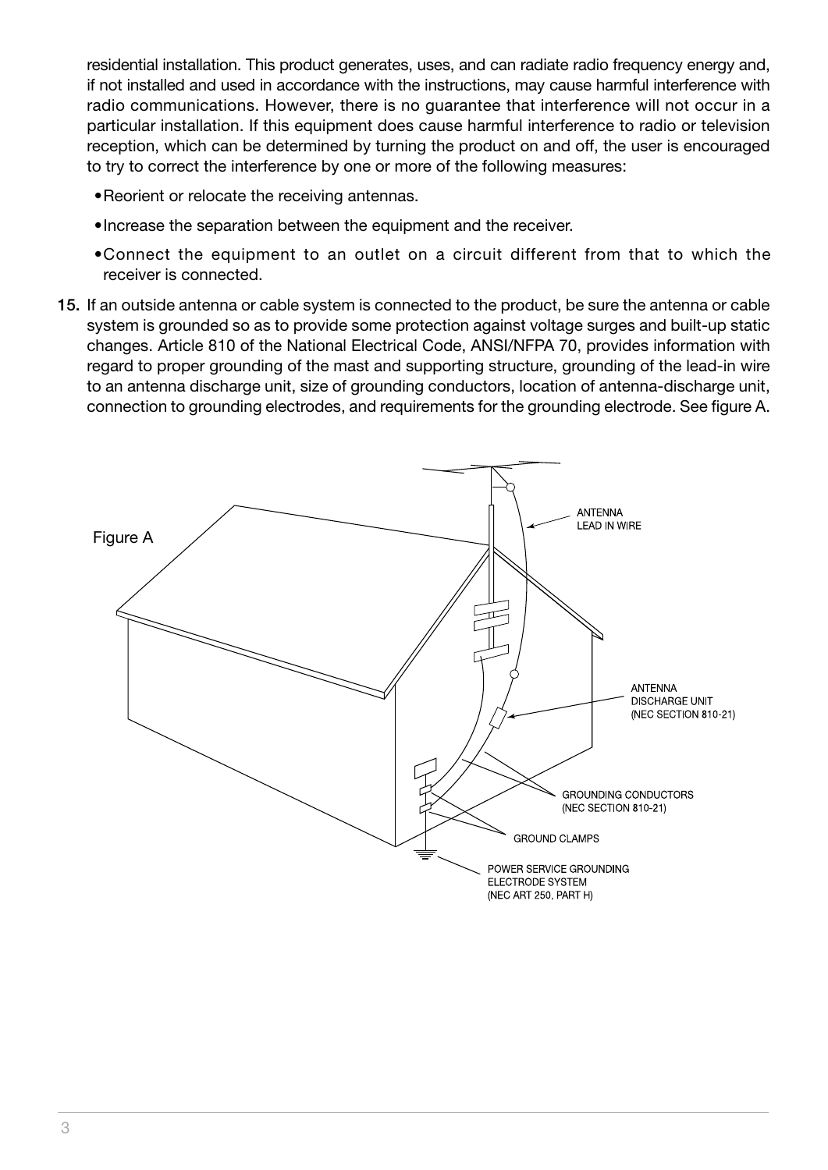residential installation. This product generates, uses, and can radiate radio frequency energy and, if not installed and used in accordance with the instructions, may cause harmful interference with radio communications. However, there is no guarantee that interference will not occur in a particular installation. If this equipment does cause harmful interference to radio or television reception, which can be determined by turning the product on and off, the user is encouraged to try to correct the interference by one or more of the following measures:

- • Reorient or relocate the receiving antennas.
- Increase the separation between the equipment and the receiver.
- • Connect the equipment to an outlet on a circuit different from that to which the receiver is connected.
- 15. If an outside antenna or cable system is connected to the product, be sure the antenna or cable system is grounded so as to provide some protection against voltage surges and built-up static changes. Article 810 of the National Electrical Code, ANSI/NFPA 70, provides information with regard to proper grounding of the mast and supporting structure, grounding of the lead-in wire to an antenna discharge unit, size of grounding conductors, location of antenna-discharge unit, connection to grounding electrodes, and requirements for the grounding electrode. See figure A.

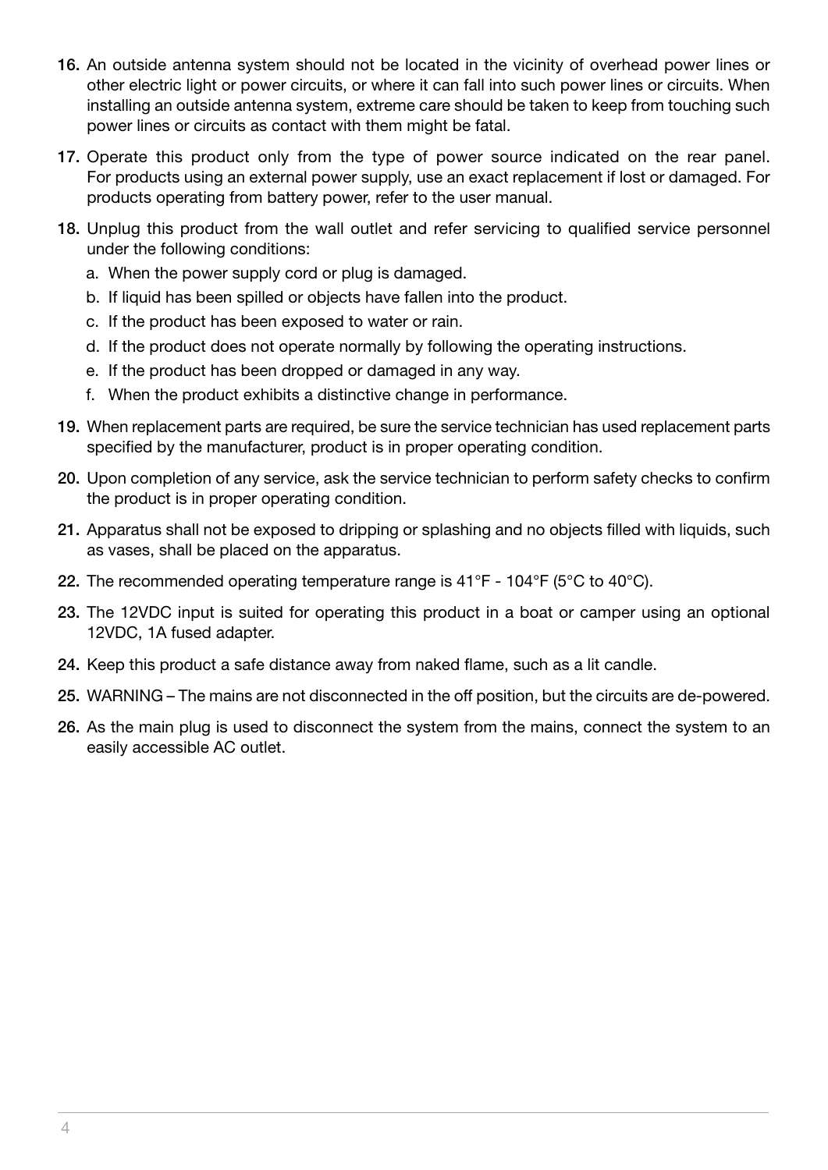- 16. An outside antenna system should not be located in the vicinity of overhead power lines or other electric light or power circuits, or where it can fall into such power lines or circuits. When installing an outside antenna system, extreme care should be taken to keep from touching such power lines or circuits as contact with them might be fatal.
- 17. Operate this product only from the type of power source indicated on the rear panel. For products using an external power supply, use an exact replacement if lost or damaged. For products operating from battery power, refer to the user manual.
- 18. Unplug this product from the wall outlet and refer servicing to qualified service personnel under the following conditions:
	- a. When the power supply cord or plug is damaged.
	- b. If liquid has been spilled or objects have fallen into the product.
	- c. If the product has been exposed to water or rain.
	- d. If the product does not operate normally by following the operating instructions.
	- e. If the product has been dropped or damaged in any way.
	- f. When the product exhibits a distinctive change in performance.
- 19. When replacement parts are required, be sure the service technician has used replacement parts specified by the manufacturer, product is in proper operating condition.
- 20. Upon completion of any service, ask the service technician to perform safety checks to confirm the product is in proper operating condition.
- 21. Apparatus shall not be exposed to dripping or splashing and no objects filled with liquids, such as vases, shall be placed on the apparatus.
- 22. The recommended operating temperature range is  $41^{\circ}F 104^{\circ}F$  (5°C to  $40^{\circ}C$ ).
- 23. The 12VDC input is suited for operating this product in a boat or camper using an optional 12VDC, 1A fused adapter.
- 24. Keep this product a safe distance away from naked flame, such as a lit candle.
- 25. WARNING The mains are not disconnected in the off position, but the circuits are de-powered.
- 26. As the main plug is used to disconnect the system from the mains, connect the system to an easily accessible AC outlet.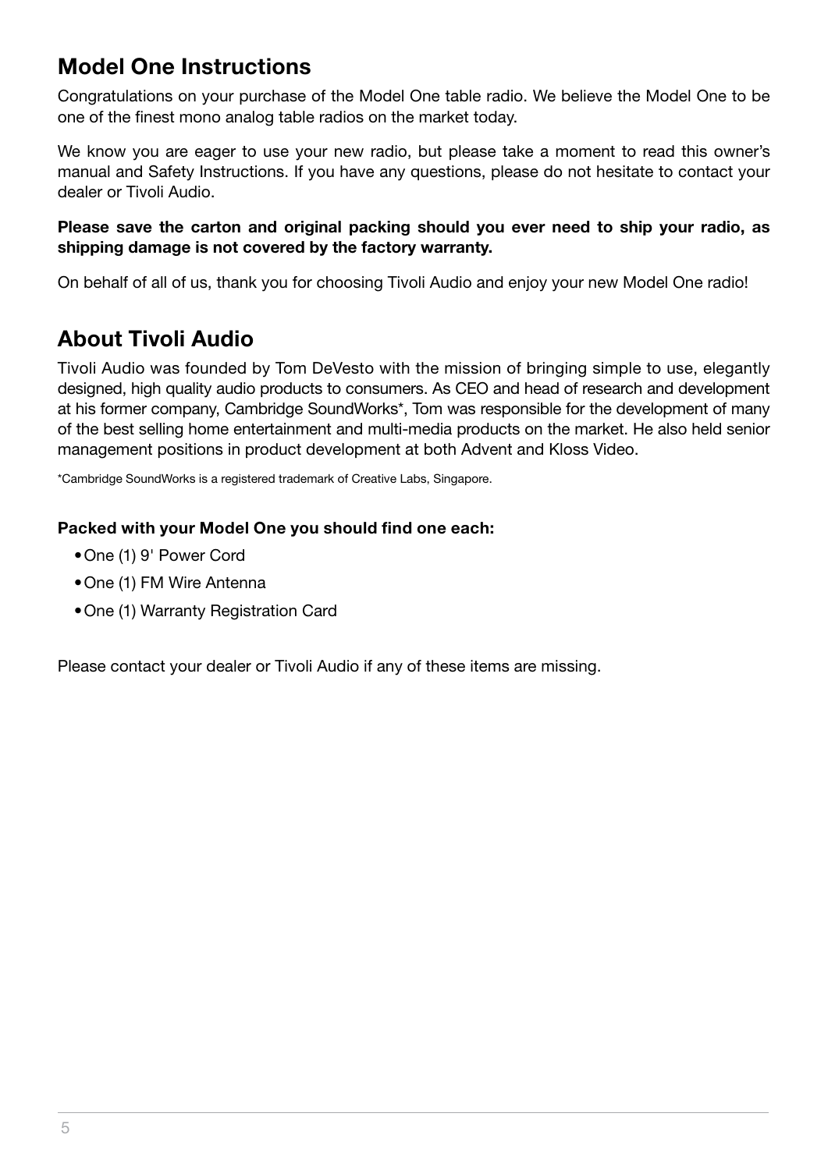### **Model One Instructions**

Congratulations on your purchase of the Model One table radio. We believe the Model One to be one of the finest mono analog table radios on the market today.

We know you are eager to use your new radio, but please take a moment to read this owner's manual and Safety Instructions. If you have any questions, please do not hesitate to contact your dealer or Tivoli Audio.

#### **Please save the carton and original packing should you ever need to ship your radio, as shipping damage is not covered by the factory warranty.**

On behalf of all of us, thank you for choosing Tivoli Audio and enjoy your new Model One radio!

### **About Tivoli Audio**

Tivoli Audio was founded by Tom DeVesto with the mission of bringing simple to use, elegantly designed, high quality audio products to consumers. As CEO and head of research and development at his former company, Cambridge SoundWorks\*, Tom was responsible for the development of many of the best selling home entertainment and multi-media products on the market. He also held senior management positions in product development at both Advent and Kloss Video.

\*Cambridge SoundWorks is a registered trademark of Creative Labs, Singapore.

#### **Packed with your Model One you should find one each:**

- • One (1) 9' Power Cord
- One (1) FM Wire Antenna
- • One (1) Warranty Registration Card

Please contact your dealer or Tivoli Audio if any of these items are missing.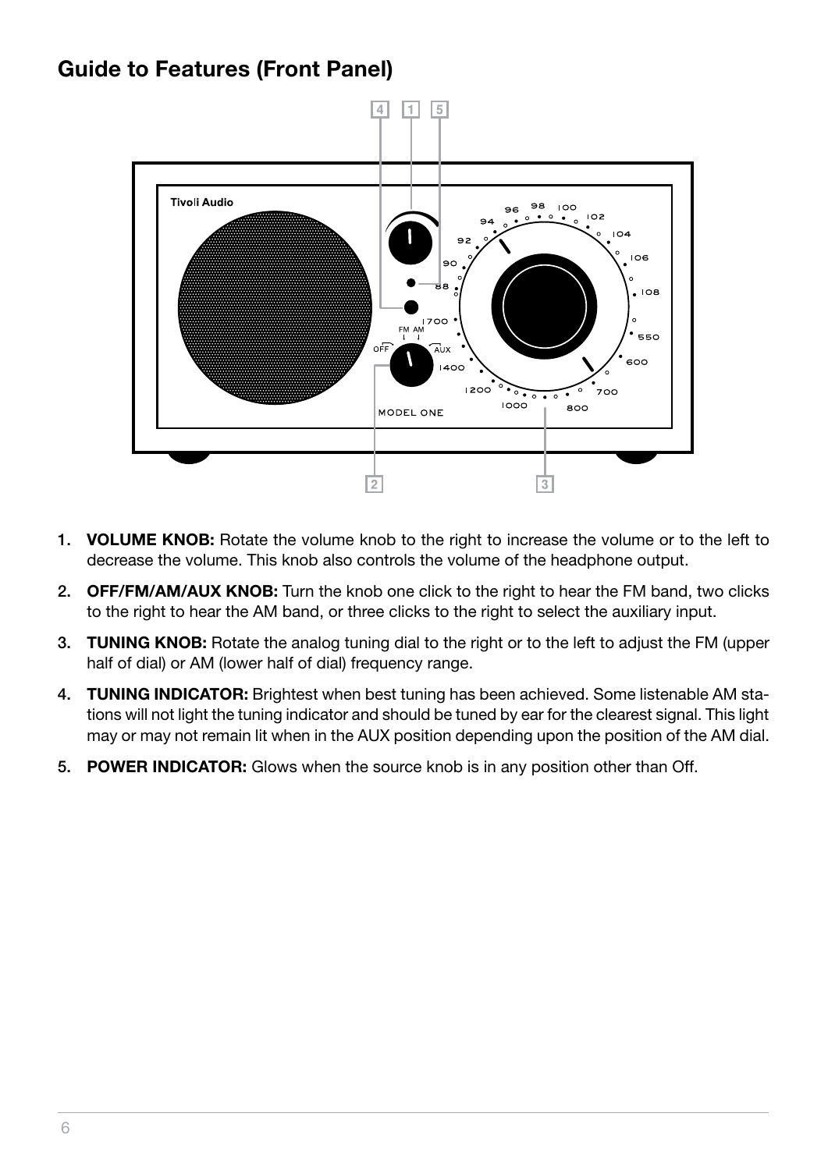#### **Guide to Features (Front Panel)**



- 1. **VOLUME KNOB:** Rotate the volume knob to the right to increase the volume or to the left to decrease the volume. This knob also controls the volume of the headphone output.
- 2. **OFF/FM/AM/AUX KNOB:** Turn the knob one click to the right to hear the FM band, two clicks to the right to hear the AM band, or three clicks to the right to select the auxiliary input.
- 3. **TUNING KNOB:** Rotate the analog tuning dial to the right or to the left to adjust the FM (upper half of dial) or AM (lower half of dial) frequency range.
- 4. **TUNING INDICATOR:** Brightest when best tuning has been achieved. Some listenable AM stations will not light the tuning indicator and should be tuned by ear for the clearest signal. This light may or may not remain lit when in the AUX position depending upon the position of the AM dial.
- 5. **POWER INDICATOR:** Glows when the source knob is in any position other than Off.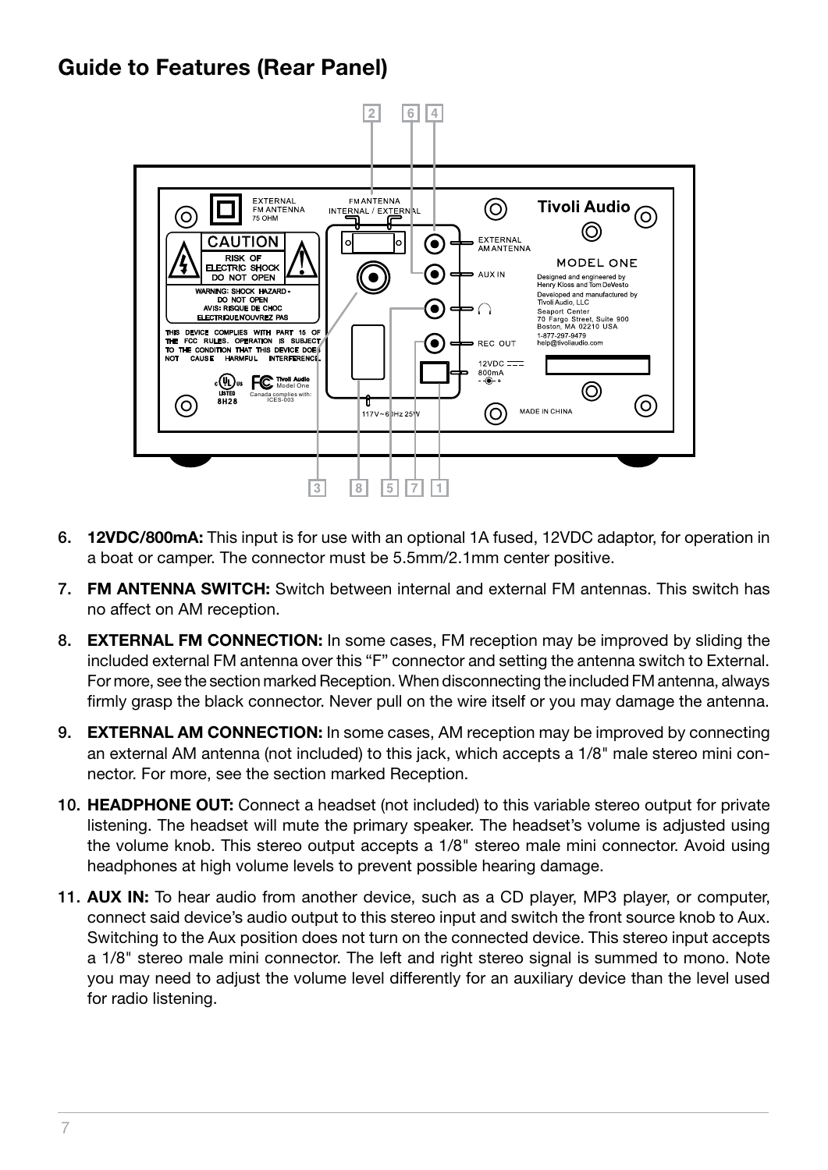#### **Guide to Features (Rear Panel)**



- 6. **12VDC/800mA:** This input is for use with an optional 1A fused, 12VDC adaptor, for operation in a boat or camper. The connector must be 5.5mm/2.1mm center positive.
- 7. **FM ANTENNA SWITCH:** Switch between internal and external FM antennas. This switch has no affect on AM reception.
- 8. **EXTERNAL FM CONNECTION:** In some cases, FM reception may be improved by sliding the included external FM antenna over this "F" connector and setting the antenna switch to External. For more, see the section marked Reception. When disconnecting the included FM antenna, always firmly grasp the black connector. Never pull on the wire itself or you may damage the antenna.
- 9. **EXTERNAL AM CONNECTION:** In some cases, AM reception may be improved by connecting an external AM antenna (not included) to this jack, which accepts a 1/8" male stereo mini connector. For more, see the section marked Reception.
- 10. **HEADPHONE OUT:** Connect a headset (not included) to this variable stereo output for private listening. The headset will mute the primary speaker. The headset's volume is adjusted using the volume knob. This stereo output accepts a 1/8" stereo male mini connector. Avoid using headphones at high volume levels to prevent possible hearing damage.
- 11. **AUX IN:** To hear audio from another device, such as a CD player, MP3 player, or computer, connect said device's audio output to this stereo input and switch the front source knob to Aux. Switching to the Aux position does not turn on the connected device. This stereo input accepts a 1/8" stereo male mini connector. The left and right stereo signal is summed to mono. Note you may need to adjust the volume level differently for an auxiliary device than the level used for radio listening.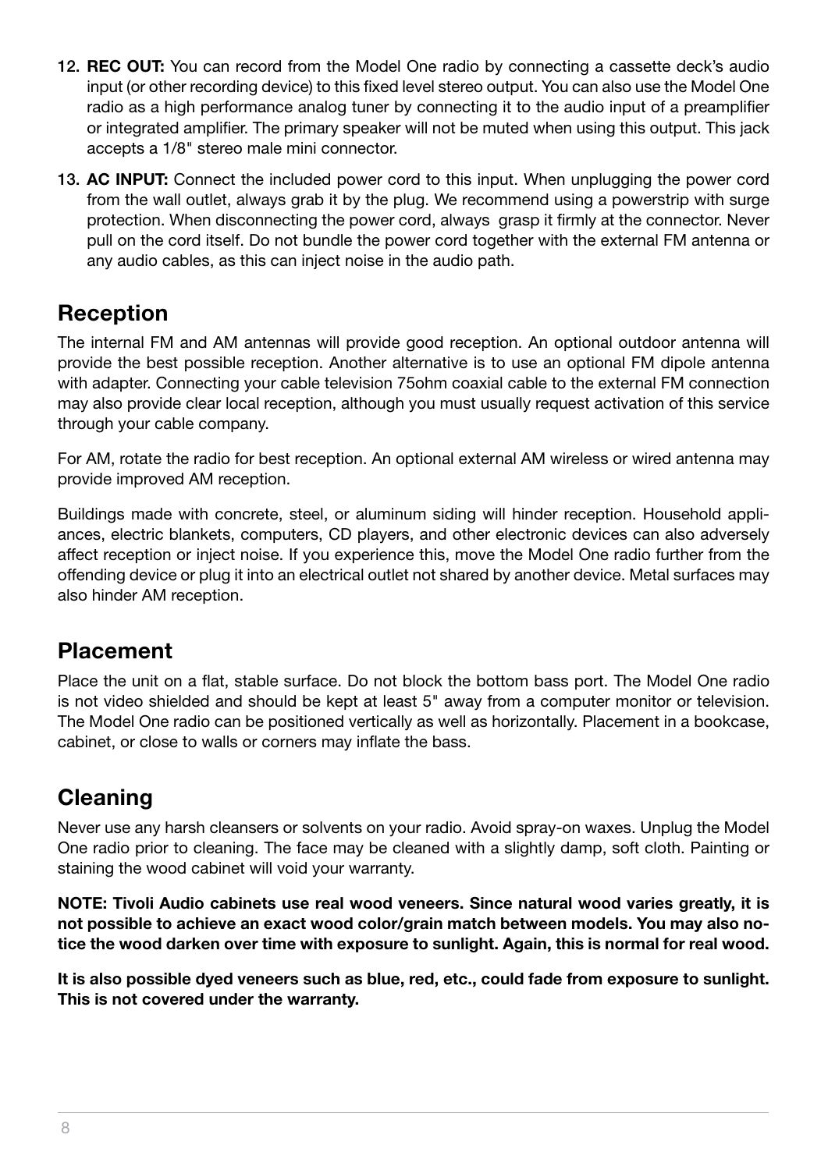- 12. **REC OUT:** You can record from the Model One radio by connecting a cassette deck's audio input (or other recording device) to this fixed level stereo output. You can also use the Model One radio as a high performance analog tuner by connecting it to the audio input of a preamplifier or integrated amplifier. The primary speaker will not be muted when using this output. This jack accepts a 1/8" stereo male mini connector.
- 13. **AC INPUT:** Connect the included power cord to this input. When unplugging the power cord from the wall outlet, always grab it by the plug. We recommend using a powerstrip with surge protection. When disconnecting the power cord, always grasp it firmly at the connector. Never pull on the cord itself. Do not bundle the power cord together with the external FM antenna or any audio cables, as this can inject noise in the audio path.

#### **Reception**

The internal FM and AM antennas will provide good reception. An optional outdoor antenna will provide the best possible reception. Another alternative is to use an optional FM dipole antenna with adapter. Connecting your cable television 75ohm coaxial cable to the external FM connection may also provide clear local reception, although you must usually request activation of this service through your cable company.

For AM, rotate the radio for best reception. An optional external AM wireless or wired antenna may provide improved AM reception.

Buildings made with concrete, steel, or aluminum siding will hinder reception. Household appliances, electric blankets, computers, CD players, and other electronic devices can also adversely affect reception or inject noise. If you experience this, move the Model One radio further from the offending device or plug it into an electrical outlet not shared by another device. Metal surfaces may also hinder AM reception.

#### **Placement**

Place the unit on a flat, stable surface. Do not block the bottom bass port. The Model One radio is not video shielded and should be kept at least 5" away from a computer monitor or television. The Model One radio can be positioned vertically as well as horizontally. Placement in a bookcase, cabinet, or close to walls or corners may inflate the bass.

#### **Cleaning**

Never use any harsh cleansers or solvents on your radio. Avoid spray-on waxes. Unplug the Model One radio prior to cleaning. The face may be cleaned with a slightly damp, soft cloth. Painting or staining the wood cabinet will void your warranty.

**NOTE: Tivoli Audio cabinets use real wood veneers. Since natural wood varies greatly, it is not possible to achieve an exact wood color/grain match between models. You may also notice the wood darken over time with exposure to sunlight. Again, this is normal for real wood.**

**It is also possible dyed veneers such as blue, red, etc., could fade from exposure to sunlight. This is not covered under the warranty.**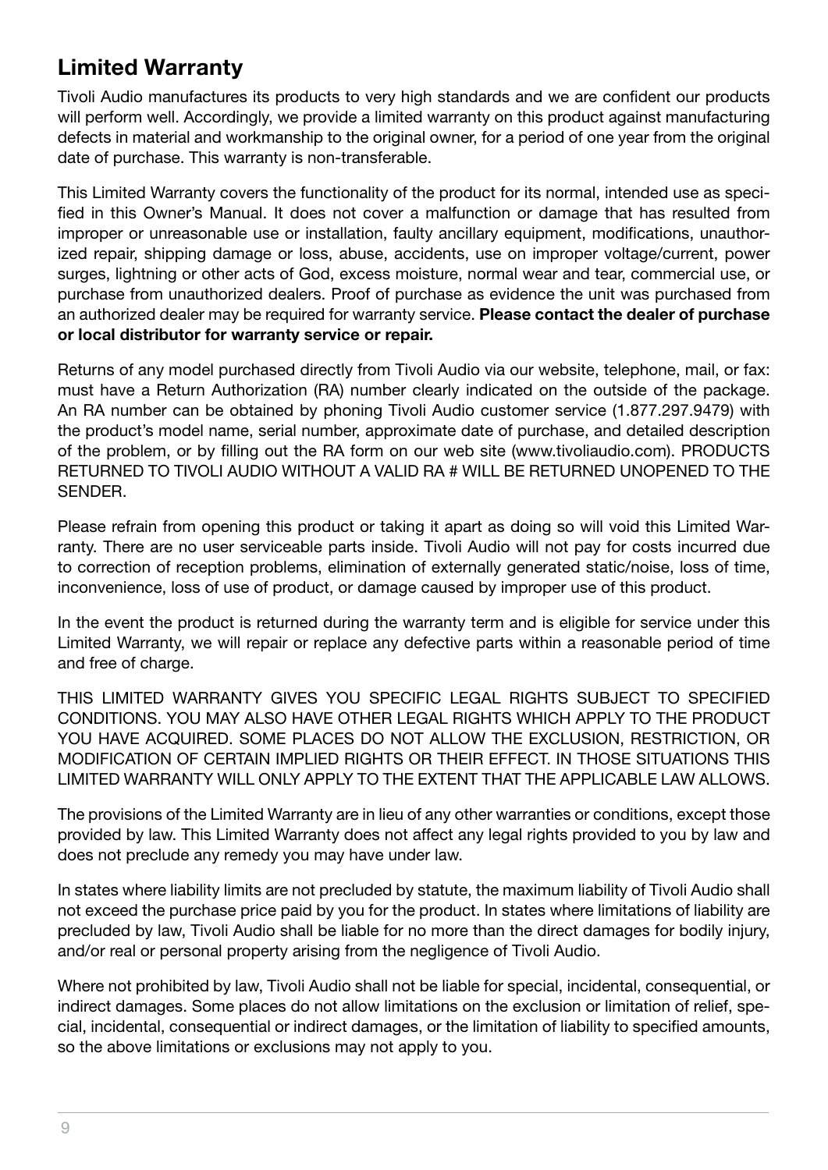### **Limited Warranty**

Tivoli Audio manufactures its products to very high standards and we are confident our products will perform well. Accordingly, we provide a limited warranty on this product against manufacturing defects in material and workmanship to the original owner, for a period of one year from the original date of purchase. This warranty is non-transferable.

This Limited Warranty covers the functionality of the product for its normal, intended use as specified in this Owner's Manual. It does not cover a malfunction or damage that has resulted from improper or unreasonable use or installation, faulty ancillary equipment, modifications, unauthorized repair, shipping damage or loss, abuse, accidents, use on improper voltage/current, power surges, lightning or other acts of God, excess moisture, normal wear and tear, commercial use, or purchase from unauthorized dealers. Proof of purchase as evidence the unit was purchased from an authorized dealer may be required for warranty service. **Please contact the dealer of purchase or local distributor for warranty service or repair.**

Returns of any model purchased directly from Tivoli Audio via our website, telephone, mail, or fax: must have a Return Authorization (RA) number clearly indicated on the outside of the package. An RA number can be obtained by phoning Tivoli Audio customer service (1.877.297.9479) with the product's model name, serial number, approximate date of purchase, and detailed description of the problem, or by filling out the RA form on our web site (www.tivoliaudio.com). PRODUCTS RETURNED TO TIVOLI AUDIO WITHOUT A VALID RA # WILL BE RETURNED UNOPENED TO THE SENDER.

Please refrain from opening this product or taking it apart as doing so will void this Limited Warranty. There are no user serviceable parts inside. Tivoli Audio will not pay for costs incurred due to correction of reception problems, elimination of externally generated static/noise, loss of time, inconvenience, loss of use of product, or damage caused by improper use of this product.

In the event the product is returned during the warranty term and is eligible for service under this Limited Warranty, we will repair or replace any defective parts within a reasonable period of time and free of charge.

THIS LIMITED WARRANTY GIVES YOU SPECIFIC LEGAL RIGHTS SUBJECT TO SPECIFIED CONDITIONS. YOU MAY ALSO HAVE OTHER LEGAL RIGHTS WHICH APPLY TO THE PRODUCT YOU HAVE ACQUIRED. SOME PLACES DO NOT ALLOW THE EXCLUSION, RESTRICTION, OR MODIFICATION OF CERTAIN IMPLIED RIGHTS OR THEIR EFFECT. IN THOSE SITUATIONS THIS LIMITED WARRANTY WILL ONLY APPLY TO THE EXTENT THAT THE APPLICABLE LAW ALLOWS.

The provisions of the Limited Warranty are in lieu of any other warranties or conditions, except those provided by law. This Limited Warranty does not affect any legal rights provided to you by law and does not preclude any remedy you may have under law.

In states where liability limits are not precluded by statute, the maximum liability of Tivoli Audio shall not exceed the purchase price paid by you for the product. In states where limitations of liability are precluded by law, Tivoli Audio shall be liable for no more than the direct damages for bodily injury, and/or real or personal property arising from the negligence of Tivoli Audio.

Where not prohibited by law, Tivoli Audio shall not be liable for special, incidental, consequential, or indirect damages. Some places do not allow limitations on the exclusion or limitation of relief, special, incidental, consequential or indirect damages, or the limitation of liability to specified amounts, so the above limitations or exclusions may not apply to you.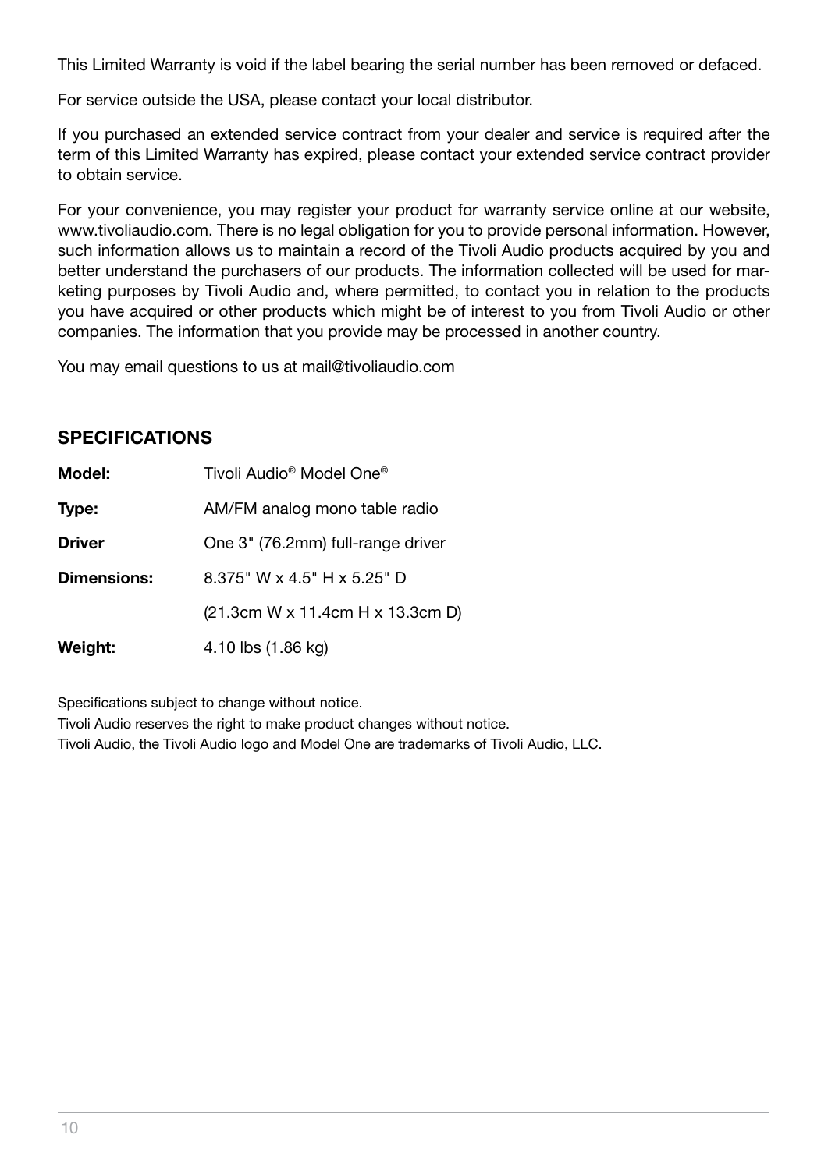This Limited Warranty is void if the label bearing the serial number has been removed or defaced.

For service outside the USA, please contact your local distributor.

If you purchased an extended service contract from your dealer and service is required after the term of this Limited Warranty has expired, please contact your extended service contract provider to obtain service.

For your convenience, you may register your product for warranty service online at our website, www.tivoliaudio.com. There is no legal obligation for you to provide personal information. However, such information allows us to maintain a record of the Tivoli Audio products acquired by you and better understand the purchasers of our products. The information collected will be used for marketing purposes by Tivoli Audio and, where permitted, to contact you in relation to the products you have acquired or other products which might be of interest to you from Tivoli Audio or other companies. The information that you provide may be processed in another country.

You may email questions to us at mail@tivoliaudio.com

#### **Specifications**

| Model:        | Tivoli Audio <sup>®</sup> Model One <sup>®</sup> |
|---------------|--------------------------------------------------|
| Type:         | AM/FM analog mono table radio                    |
| <b>Driver</b> | One 3" (76.2mm) full-range driver                |
| Dimensions:   | 8.375" W x 4.5" H x 5.25" D                      |
|               | (21.3cm W x 11.4cm H x 13.3cm D)                 |
| Weight:       | 4.10 lbs (1.86 kg)                               |

Specifications subject to change without notice.

Tivoli Audio reserves the right to make product changes without notice.

Tivoli Audio, the Tivoli Audio logo and Model One are trademarks of Tivoli Audio, LLC.